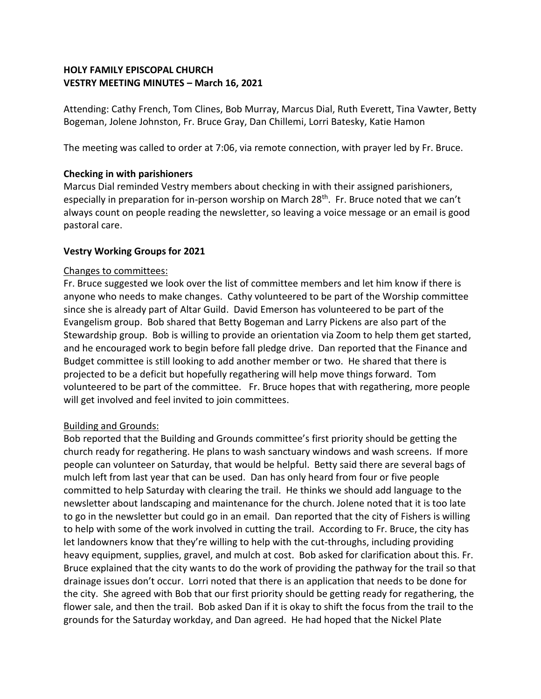# **HOLY FAMILY EPISCOPAL CHURCH VESTRY MEETING MINUTES – March 16, 2021**

Attending: Cathy French, Tom Clines, Bob Murray, Marcus Dial, Ruth Everett, Tina Vawter, Betty Bogeman, Jolene Johnston, Fr. Bruce Gray, Dan Chillemi, Lorri Batesky, Katie Hamon

The meeting was called to order at 7:06, via remote connection, with prayer led by Fr. Bruce.

# **Checking in with parishioners**

Marcus Dial reminded Vestry members about checking in with their assigned parishioners, especially in preparation for in-person worship on March 28<sup>th</sup>. Fr. Bruce noted that we can't always count on people reading the newsletter, so leaving a voice message or an email is good pastoral care.

# **Vestry Working Groups for 2021**

# Changes to committees:

Fr. Bruce suggested we look over the list of committee members and let him know if there is anyone who needs to make changes. Cathy volunteered to be part of the Worship committee since she is already part of Altar Guild. David Emerson has volunteered to be part of the Evangelism group. Bob shared that Betty Bogeman and Larry Pickens are also part of the Stewardship group. Bob is willing to provide an orientation via Zoom to help them get started, and he encouraged work to begin before fall pledge drive. Dan reported that the Finance and Budget committee is still looking to add another member or two. He shared that there is projected to be a deficit but hopefully regathering will help move things forward. Tom volunteered to be part of the committee. Fr. Bruce hopes that with regathering, more people will get involved and feel invited to join committees.

# Building and Grounds:

Bob reported that the Building and Grounds committee's first priority should be getting the church ready for regathering. He plans to wash sanctuary windows and wash screens. If more people can volunteer on Saturday, that would be helpful. Betty said there are several bags of mulch left from last year that can be used. Dan has only heard from four or five people committed to help Saturday with clearing the trail. He thinks we should add language to the newsletter about landscaping and maintenance for the church. Jolene noted that it is too late to go in the newsletter but could go in an email. Dan reported that the city of Fishers is willing to help with some of the work involved in cutting the trail. According to Fr. Bruce, the city has let landowners know that they're willing to help with the cut-throughs, including providing heavy equipment, supplies, gravel, and mulch at cost. Bob asked for clarification about this. Fr. Bruce explained that the city wants to do the work of providing the pathway for the trail so that drainage issues don't occur. Lorri noted that there is an application that needs to be done for the city. She agreed with Bob that our first priority should be getting ready for regathering, the flower sale, and then the trail. Bob asked Dan if it is okay to shift the focus from the trail to the grounds for the Saturday workday, and Dan agreed. He had hoped that the Nickel Plate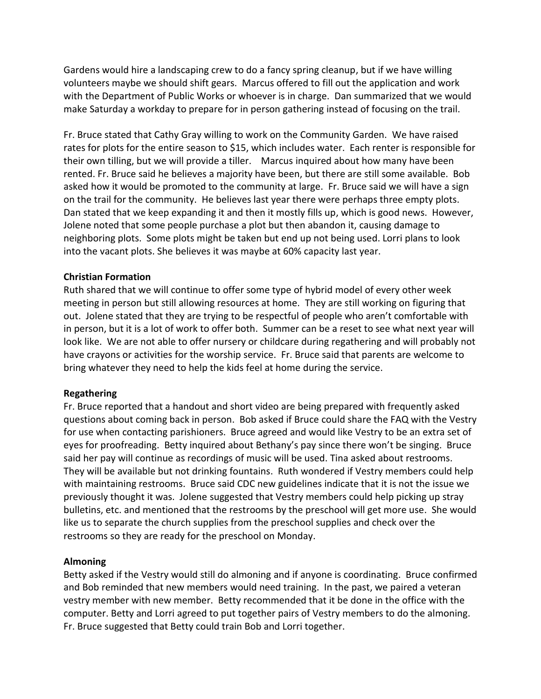Gardens would hire a landscaping crew to do a fancy spring cleanup, but if we have willing volunteers maybe we should shift gears. Marcus offered to fill out the application and work with the Department of Public Works or whoever is in charge. Dan summarized that we would make Saturday a workday to prepare for in person gathering instead of focusing on the trail.

Fr. Bruce stated that Cathy Gray willing to work on the Community Garden. We have raised rates for plots for the entire season to \$15, which includes water. Each renter is responsible for their own tilling, but we will provide a tiller. Marcus inquired about how many have been rented. Fr. Bruce said he believes a majority have been, but there are still some available. Bob asked how it would be promoted to the community at large. Fr. Bruce said we will have a sign on the trail for the community. He believes last year there were perhaps three empty plots. Dan stated that we keep expanding it and then it mostly fills up, which is good news. However, Jolene noted that some people purchase a plot but then abandon it, causing damage to neighboring plots. Some plots might be taken but end up not being used. Lorri plans to look into the vacant plots. She believes it was maybe at 60% capacity last year.

### **Christian Formation**

Ruth shared that we will continue to offer some type of hybrid model of every other week meeting in person but still allowing resources at home. They are still working on figuring that out. Jolene stated that they are trying to be respectful of people who aren't comfortable with in person, but it is a lot of work to offer both. Summer can be a reset to see what next year will look like. We are not able to offer nursery or childcare during regathering and will probably not have crayons or activities for the worship service. Fr. Bruce said that parents are welcome to bring whatever they need to help the kids feel at home during the service.

#### **Regathering**

Fr. Bruce reported that a handout and short video are being prepared with frequently asked questions about coming back in person. Bob asked if Bruce could share the FAQ with the Vestry for use when contacting parishioners. Bruce agreed and would like Vestry to be an extra set of eyes for proofreading. Betty inquired about Bethany's pay since there won't be singing. Bruce said her pay will continue as recordings of music will be used. Tina asked about restrooms. They will be available but not drinking fountains. Ruth wondered if Vestry members could help with maintaining restrooms. Bruce said CDC new guidelines indicate that it is not the issue we previously thought it was. Jolene suggested that Vestry members could help picking up stray bulletins, etc. and mentioned that the restrooms by the preschool will get more use. She would like us to separate the church supplies from the preschool supplies and check over the restrooms so they are ready for the preschool on Monday.

#### **Almoning**

Betty asked if the Vestry would still do almoning and if anyone is coordinating. Bruce confirmed and Bob reminded that new members would need training. In the past, we paired a veteran vestry member with new member. Betty recommended that it be done in the office with the computer. Betty and Lorri agreed to put together pairs of Vestry members to do the almoning. Fr. Bruce suggested that Betty could train Bob and Lorri together.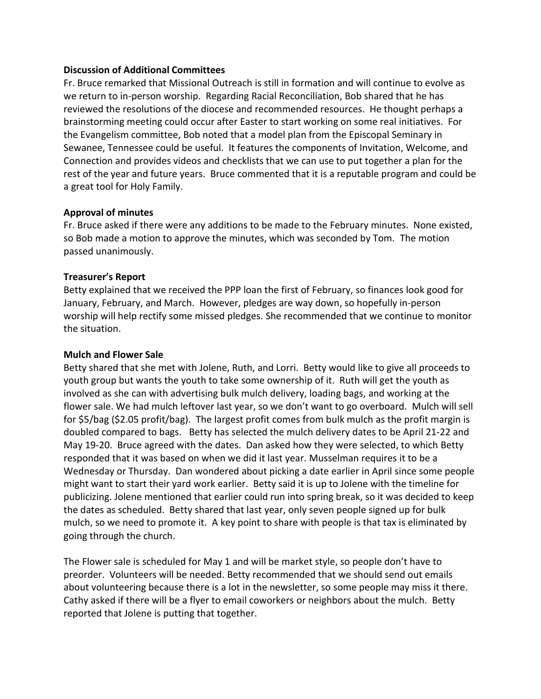### **Discussion of Additional Committees**

Fr. Bruce remarked that Missional Outreach is still in formation and will continue to evolve as we return to in-person worship. Regarding Racial Reconciliation, Bob shared that he has reviewed the resolutions of the diocese and recommended resources. He thought perhaps a brainstorming meeting could occur after Easter to start working on some real initiatives. For the Evangelism committee, Bob noted that a model plan from the Episcopal Seminary in Sewanee, Tennessee could be useful. It features the components of Invitation, Welcome, and Connection and provides videos and checklists that we can use to put together a plan for the rest of the year and future years. Bruce commented that it is a reputable program and could be a great tool for Holy Family.

### **Approval of minutes**

Fr. Bruce asked if there were any additions to be made to the February minutes. None existed, so Bob made a motion to approve the minutes, which was seconded by Tom. The motion passed unanimously.

# **Treasurer's Report**

Betty explained that we received the PPP loan the first of February, so finances look good for January, February, and March. However, pledges are way down, so hopefully in-person worship will help rectify some missed pledges. She recommended that we continue to monitor the situation.

### **Mulch and Flower Sale**

Betty shared that she met with Jolene, Ruth, and Lorri. Betty would like to give all proceeds to youth group but wants the youth to take some ownership of it. Ruth will get the youth as involved as she can with advertising bulk mulch delivery, loading bags, and working at the flower sale. We had mulch leftover last year, so we don't want to go overboard. Mulch will sell for \$5/bag (\$2.05 profit/bag). The largest profit comes from bulk mulch as the profit margin is doubled compared to bags. Betty has selected the mulch delivery dates to be April 21-22 and May 19-20. Bruce agreed with the dates. Dan asked how they were selected, to which Betty responded that it was based on when we did it last year. Musselman requires it to be a Wednesday or Thursday. Dan wondered about picking a date earlier in April since some people might want to start their yard work earlier. Betty said it is up to Jolene with the timeline for publicizing. Jolene mentioned that earlier could run into spring break, so it was decided to keep the dates as scheduled. Betty shared that last year, only seven people signed up for bulk mulch, so we need to promote it. A key point to share with people is that tax is eliminated by going through the church.

The Flower sale is scheduled for May 1 and will be market style, so people don't have to preorder. Volunteers will be needed. Betty recommended that we should send out emails about volunteering because there is a lot in the newsletter, so some people may miss it there. Cathy asked if there will be a flyer to email coworkers or neighbors about the mulch. Betty reported that Jolene is putting that together.